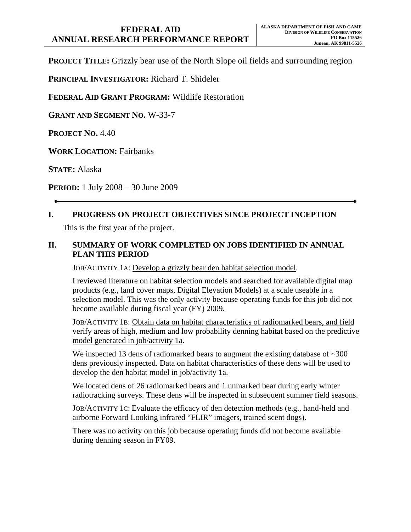**PROJECT TITLE:** Grizzly bear use of the North Slope oil fields and surrounding region

**PRINCIPAL INVESTIGATOR:** Richard T. Shideler

**FEDERAL AID GRANT PROGRAM:** Wildlife Restoration

**GRANT AND SEGMENT NO.** W-33-7

**PROJECT NO.** 4.40

**WORK LOCATION:** Fairbanks

**STATE:** Alaska

**PERIOD:** 1 July 2008 – 30 June 2009

## **I. PROGRESS ON PROJECT OBJECTIVES SINCE PROJECT INCEPTION**

This is the first year of the project.

## **II. SUMMARY OF WORK COMPLETED ON JOBS IDENTIFIED IN ANNUAL PLAN THIS PERIOD**

JOB/ACTIVITY 1A: Develop a grizzly bear den habitat selection model.

I reviewed literature on habitat selection models and searched for available digital map products (e.g., land cover maps, Digital Elevation Models) at a scale useable in a selection model. This was the only activity because operating funds for this job did not become available during fiscal year (FY) 2009.

JOB/ACTIVITY 1B: Obtain data on habitat characteristics of radiomarked bears, and field verify areas of high, medium and low probability denning habitat based on the predictive model generated in job/activity 1a.

We inspected 13 dens of radiomarked bears to augment the existing database of  $\sim$ 300 dens previously inspected. Data on habitat characteristics of these dens will be used to develop the den habitat model in job/activity 1a.

We located dens of 26 radiomarked bears and 1 unmarked bear during early winter radiotracking surveys. These dens will be inspected in subsequent summer field seasons.

JOB/ACTIVITY 1C: Evaluate the efficacy of den detection methods (e.g., hand-held and airborne Forward Looking infrared "FLIR" imagers, trained scent dogs).

There was no activity on this job because operating funds did not become available during denning season in FY09.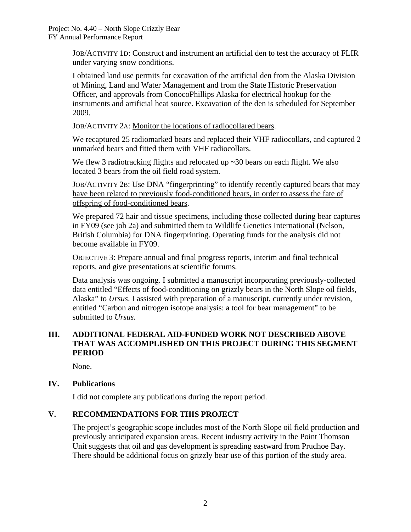JOB/ACTIVITY 1D: Construct and instrument an artificial den to test the accuracy of FLIR under varying snow conditions.

I obtained land use permits for excavation of the artificial den from the Alaska Division of Mining, Land and Water Management and from the State Historic Preservation Officer, and approvals from ConocoPhillips Alaska for electrical hookup for the instruments and artificial heat source. Excavation of the den is scheduled for September 2009.

JOB/ACTIVITY 2A: Monitor the locations of radiocollared bears.

We recaptured 25 radiomarked bears and replaced their VHF radiocollars, and captured 2 unmarked bears and fitted them with VHF radiocollars.

We flew 3 radiotracking flights and relocated up ~30 bears on each flight. We also located 3 bears from the oil field road system.

JOB/ACTIVITY 2B: Use DNA "fingerprinting" to identify recently captured bears that may have been related to previously food-conditioned bears, in order to assess the fate of offspring of food-conditioned bears.

We prepared 72 hair and tissue specimens, including those collected during bear captures in FY09 (see job 2a) and submitted them to Wildlife Genetics International (Nelson, British Columbia) for DNA fingerprinting. Operating funds for the analysis did not become available in FY09.

OBJECTIVE 3: Prepare annual and final progress reports, interim and final technical reports, and give presentations at scientific forums.

Data analysis was ongoing. I submitted a manuscript incorporating previously-collected data entitled "Effects of food-conditioning on grizzly bears in the North Slope oil fields, Alaska" to *Ursus*. I assisted with preparation of a manuscript, currently under revision, entitled "Carbon and nitrogen isotope analysis: a tool for bear management" to be submitted to *Ursus.*

# **III. ADDITIONAL FEDERAL AID-FUNDED WORK NOT DESCRIBED ABOVE THAT WAS ACCOMPLISHED ON THIS PROJECT DURING THIS SEGMENT PERIOD**

None.

## **IV. Publications**

I did not complete any publications during the report period.

## **V. RECOMMENDATIONS FOR THIS PROJECT**

The project's geographic scope includes most of the North Slope oil field production and previously anticipated expansion areas. Recent industry activity in the Point Thomson Unit suggests that oil and gas development is spreading eastward from Prudhoe Bay. There should be additional focus on grizzly bear use of this portion of the study area.